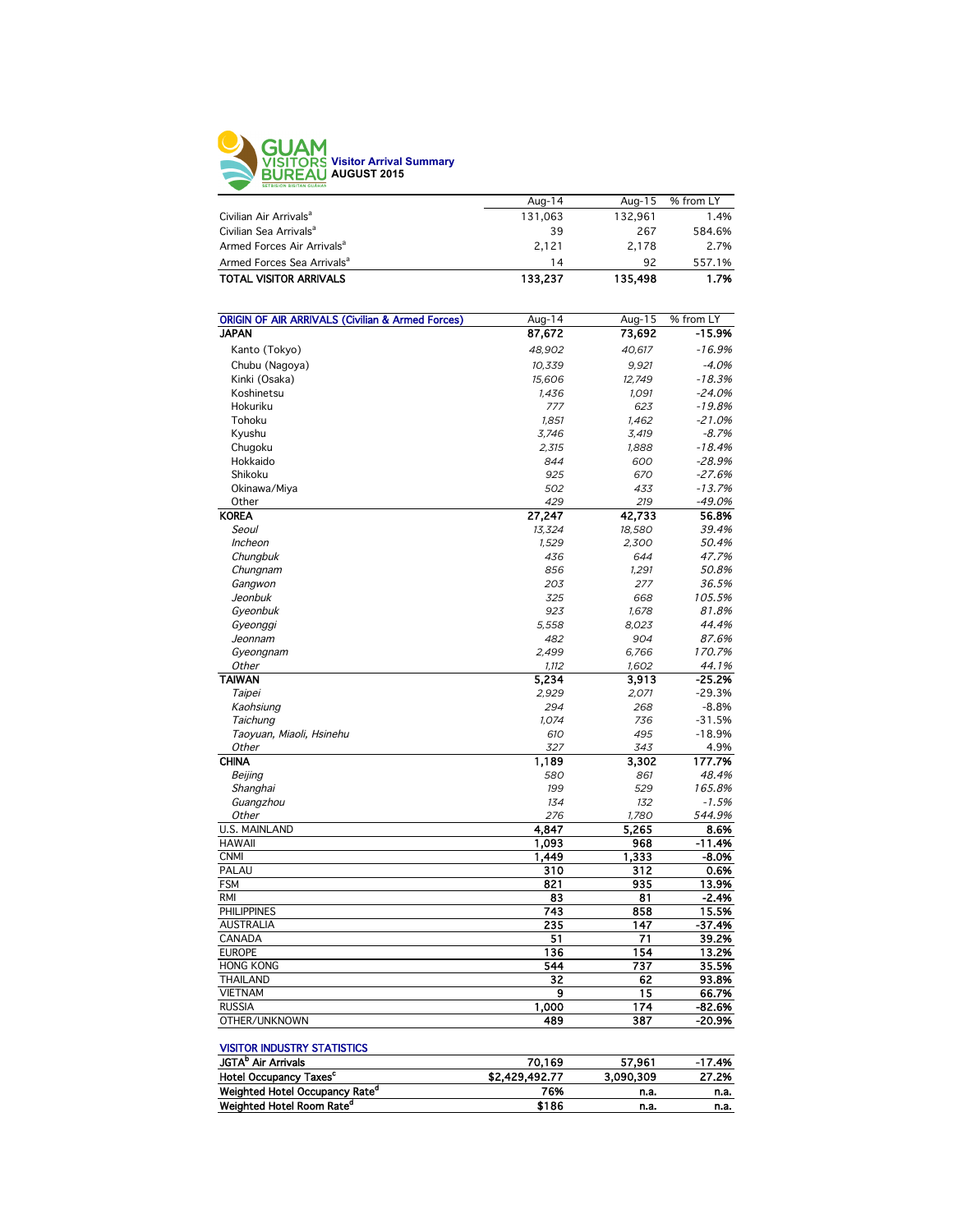

|                                        | Aug-14  | Aug-15  | % from LY |
|----------------------------------------|---------|---------|-----------|
| Civilian Air Arrivals <sup>a</sup>     | 131.063 | 132.961 | 1.4%      |
| Civilian Sea Arrivals <sup>a</sup>     | 39      | 267     | 584.6%    |
| Armed Forces Air Arrivals <sup>a</sup> | 2.121   | 2.178   | 2.7%      |
| Armed Forces Sea Arrivals <sup>a</sup> | 14      | 92      | 557.1%    |
| <b>TOTAL VISITOR ARRIVALS</b>          | 133,237 | 135,498 | 1.7%      |
|                                        |         |         |           |

| <b>JAPAN</b><br>87,672<br>73,692<br>-15.9%<br>$-16.9%$<br>Kanto (Tokyo)<br>48,902<br>40,617<br>Chubu (Nagoya)<br>$-4.0%$<br>10,339<br>9,921<br>Kinki (Osaka)<br>15,606<br>12,749<br>$-18.3%$<br>Koshinetsu<br>$-24.0%$<br>1,436<br>1,091<br>Hokuriku<br>$-19.8%$<br>777<br>623<br>$-21.0%$<br>Tohoku<br>1,851<br>1,462<br>$-8.7%$<br>Kyushu<br>3,746<br>3,419<br>Chugoku<br>$-18.4%$<br>2,315<br>1,888<br>Hokkaido<br>$-28.9%$<br>844<br>600<br>Shikoku<br>$-27.6%$<br>925<br>670<br>433<br>$-13.7%$<br>Okinawa/Miya<br>502<br>Other<br>429<br>219<br>$-49.0%$<br><b>KOREA</b><br>27,247<br>42,733<br>56.8%<br>Seoul<br>39.4%<br>13,324<br>18,580<br>Incheon<br>2,300<br>50.4%<br>1,529<br>Chungbuk<br>47.7%<br>436<br>644<br>Chungnam<br>50.8%<br>856<br>1,291<br>Gangwon<br>36.5%<br>203<br>277<br>Jeonbuk<br>325<br>105.5%<br>668<br>923<br>81.8%<br>Gyeonbuk<br>1,678<br>5.558<br>8.023<br>44.4%<br>Gyeonggi<br>Jeonnam<br>482<br>904<br>87.6%<br>2.499<br>6.766<br>170.7%<br>Gyeongnam<br>44.1%<br>Other<br>1,112<br>1,602<br><b>TAIWAN</b><br>$-25.2%$<br>5,234<br>3,913<br>$-29.3%$<br>Taipei<br>2,929<br>2,071<br>$-8.8%$<br>Kaohsiung<br>294<br>268<br>$-31.5%$<br>Taichung<br>1,074<br>736<br>Taoyuan, Miaoli, Hsinehu<br>610<br>495<br>$-18.9%$<br>Other<br>343<br>4.9%<br>327<br><b>CHINA</b><br>177.7%<br>1,189<br>3.302<br>48.4%<br>Beijing<br>580<br>861<br>Shanghai<br>529<br>165.8%<br>199<br>Guangzhou<br>134<br>132<br>$-1.5%$<br>Other<br>276<br>1,780<br>544.9%<br><b>U.S. MAINLAND</b><br>4,847<br>5,265<br>8.6%<br><b>HAWAII</b><br>1,093<br>968<br>$-11.4%$<br><b>CNMI</b><br>1,449<br>1.333<br>$-8.0%$<br>PALAU<br>310<br>312<br>0.6%<br><b>FSM</b><br>821<br>935<br>13.9%<br><b>RMI</b><br>83<br>81<br>$-2.4%$<br><b>PHILIPPINES</b><br>858<br>743<br>15.5%<br><b>AUSTRALIA</b><br>235<br>147<br>$-37.4%$<br>71<br>39.2%<br>CANADA<br>51<br><b>EUROPE</b><br>136<br>154<br>13.2%<br><b>HONG KONG</b><br>544<br>737<br>35.5%<br>32<br><b>THAILAND</b><br>62<br>93.8%<br><b>VIETNAM</b><br>9<br>15<br>66.7%<br><b>RUSSIA</b><br>1,000<br>174<br>$-82.6%$<br>OTHER/UNKNOWN<br>489<br>387<br>-20.9% | <b>ORIGIN OF AIR ARRIVALS (Civilian &amp; Armed Forces)</b> | Aug-14 | Aug-15 | % from LY |
|---------------------------------------------------------------------------------------------------------------------------------------------------------------------------------------------------------------------------------------------------------------------------------------------------------------------------------------------------------------------------------------------------------------------------------------------------------------------------------------------------------------------------------------------------------------------------------------------------------------------------------------------------------------------------------------------------------------------------------------------------------------------------------------------------------------------------------------------------------------------------------------------------------------------------------------------------------------------------------------------------------------------------------------------------------------------------------------------------------------------------------------------------------------------------------------------------------------------------------------------------------------------------------------------------------------------------------------------------------------------------------------------------------------------------------------------------------------------------------------------------------------------------------------------------------------------------------------------------------------------------------------------------------------------------------------------------------------------------------------------------------------------------------------------------------------------------------------------------------------------------------------------------------------------------------------------------------------------------------------------------------------------------------------------------------------------------------------------------------------------------|-------------------------------------------------------------|--------|--------|-----------|
|                                                                                                                                                                                                                                                                                                                                                                                                                                                                                                                                                                                                                                                                                                                                                                                                                                                                                                                                                                                                                                                                                                                                                                                                                                                                                                                                                                                                                                                                                                                                                                                                                                                                                                                                                                                                                                                                                                                                                                                                                                                                                                                           |                                                             |        |        |           |
|                                                                                                                                                                                                                                                                                                                                                                                                                                                                                                                                                                                                                                                                                                                                                                                                                                                                                                                                                                                                                                                                                                                                                                                                                                                                                                                                                                                                                                                                                                                                                                                                                                                                                                                                                                                                                                                                                                                                                                                                                                                                                                                           |                                                             |        |        |           |
|                                                                                                                                                                                                                                                                                                                                                                                                                                                                                                                                                                                                                                                                                                                                                                                                                                                                                                                                                                                                                                                                                                                                                                                                                                                                                                                                                                                                                                                                                                                                                                                                                                                                                                                                                                                                                                                                                                                                                                                                                                                                                                                           |                                                             |        |        |           |
|                                                                                                                                                                                                                                                                                                                                                                                                                                                                                                                                                                                                                                                                                                                                                                                                                                                                                                                                                                                                                                                                                                                                                                                                                                                                                                                                                                                                                                                                                                                                                                                                                                                                                                                                                                                                                                                                                                                                                                                                                                                                                                                           |                                                             |        |        |           |
|                                                                                                                                                                                                                                                                                                                                                                                                                                                                                                                                                                                                                                                                                                                                                                                                                                                                                                                                                                                                                                                                                                                                                                                                                                                                                                                                                                                                                                                                                                                                                                                                                                                                                                                                                                                                                                                                                                                                                                                                                                                                                                                           |                                                             |        |        |           |
|                                                                                                                                                                                                                                                                                                                                                                                                                                                                                                                                                                                                                                                                                                                                                                                                                                                                                                                                                                                                                                                                                                                                                                                                                                                                                                                                                                                                                                                                                                                                                                                                                                                                                                                                                                                                                                                                                                                                                                                                                                                                                                                           |                                                             |        |        |           |
|                                                                                                                                                                                                                                                                                                                                                                                                                                                                                                                                                                                                                                                                                                                                                                                                                                                                                                                                                                                                                                                                                                                                                                                                                                                                                                                                                                                                                                                                                                                                                                                                                                                                                                                                                                                                                                                                                                                                                                                                                                                                                                                           |                                                             |        |        |           |
|                                                                                                                                                                                                                                                                                                                                                                                                                                                                                                                                                                                                                                                                                                                                                                                                                                                                                                                                                                                                                                                                                                                                                                                                                                                                                                                                                                                                                                                                                                                                                                                                                                                                                                                                                                                                                                                                                                                                                                                                                                                                                                                           |                                                             |        |        |           |
|                                                                                                                                                                                                                                                                                                                                                                                                                                                                                                                                                                                                                                                                                                                                                                                                                                                                                                                                                                                                                                                                                                                                                                                                                                                                                                                                                                                                                                                                                                                                                                                                                                                                                                                                                                                                                                                                                                                                                                                                                                                                                                                           |                                                             |        |        |           |
|                                                                                                                                                                                                                                                                                                                                                                                                                                                                                                                                                                                                                                                                                                                                                                                                                                                                                                                                                                                                                                                                                                                                                                                                                                                                                                                                                                                                                                                                                                                                                                                                                                                                                                                                                                                                                                                                                                                                                                                                                                                                                                                           |                                                             |        |        |           |
|                                                                                                                                                                                                                                                                                                                                                                                                                                                                                                                                                                                                                                                                                                                                                                                                                                                                                                                                                                                                                                                                                                                                                                                                                                                                                                                                                                                                                                                                                                                                                                                                                                                                                                                                                                                                                                                                                                                                                                                                                                                                                                                           |                                                             |        |        |           |
|                                                                                                                                                                                                                                                                                                                                                                                                                                                                                                                                                                                                                                                                                                                                                                                                                                                                                                                                                                                                                                                                                                                                                                                                                                                                                                                                                                                                                                                                                                                                                                                                                                                                                                                                                                                                                                                                                                                                                                                                                                                                                                                           |                                                             |        |        |           |
|                                                                                                                                                                                                                                                                                                                                                                                                                                                                                                                                                                                                                                                                                                                                                                                                                                                                                                                                                                                                                                                                                                                                                                                                                                                                                                                                                                                                                                                                                                                                                                                                                                                                                                                                                                                                                                                                                                                                                                                                                                                                                                                           |                                                             |        |        |           |
|                                                                                                                                                                                                                                                                                                                                                                                                                                                                                                                                                                                                                                                                                                                                                                                                                                                                                                                                                                                                                                                                                                                                                                                                                                                                                                                                                                                                                                                                                                                                                                                                                                                                                                                                                                                                                                                                                                                                                                                                                                                                                                                           |                                                             |        |        |           |
|                                                                                                                                                                                                                                                                                                                                                                                                                                                                                                                                                                                                                                                                                                                                                                                                                                                                                                                                                                                                                                                                                                                                                                                                                                                                                                                                                                                                                                                                                                                                                                                                                                                                                                                                                                                                                                                                                                                                                                                                                                                                                                                           |                                                             |        |        |           |
|                                                                                                                                                                                                                                                                                                                                                                                                                                                                                                                                                                                                                                                                                                                                                                                                                                                                                                                                                                                                                                                                                                                                                                                                                                                                                                                                                                                                                                                                                                                                                                                                                                                                                                                                                                                                                                                                                                                                                                                                                                                                                                                           |                                                             |        |        |           |
|                                                                                                                                                                                                                                                                                                                                                                                                                                                                                                                                                                                                                                                                                                                                                                                                                                                                                                                                                                                                                                                                                                                                                                                                                                                                                                                                                                                                                                                                                                                                                                                                                                                                                                                                                                                                                                                                                                                                                                                                                                                                                                                           |                                                             |        |        |           |
|                                                                                                                                                                                                                                                                                                                                                                                                                                                                                                                                                                                                                                                                                                                                                                                                                                                                                                                                                                                                                                                                                                                                                                                                                                                                                                                                                                                                                                                                                                                                                                                                                                                                                                                                                                                                                                                                                                                                                                                                                                                                                                                           |                                                             |        |        |           |
|                                                                                                                                                                                                                                                                                                                                                                                                                                                                                                                                                                                                                                                                                                                                                                                                                                                                                                                                                                                                                                                                                                                                                                                                                                                                                                                                                                                                                                                                                                                                                                                                                                                                                                                                                                                                                                                                                                                                                                                                                                                                                                                           |                                                             |        |        |           |
|                                                                                                                                                                                                                                                                                                                                                                                                                                                                                                                                                                                                                                                                                                                                                                                                                                                                                                                                                                                                                                                                                                                                                                                                                                                                                                                                                                                                                                                                                                                                                                                                                                                                                                                                                                                                                                                                                                                                                                                                                                                                                                                           |                                                             |        |        |           |
|                                                                                                                                                                                                                                                                                                                                                                                                                                                                                                                                                                                                                                                                                                                                                                                                                                                                                                                                                                                                                                                                                                                                                                                                                                                                                                                                                                                                                                                                                                                                                                                                                                                                                                                                                                                                                                                                                                                                                                                                                                                                                                                           |                                                             |        |        |           |
|                                                                                                                                                                                                                                                                                                                                                                                                                                                                                                                                                                                                                                                                                                                                                                                                                                                                                                                                                                                                                                                                                                                                                                                                                                                                                                                                                                                                                                                                                                                                                                                                                                                                                                                                                                                                                                                                                                                                                                                                                                                                                                                           |                                                             |        |        |           |
|                                                                                                                                                                                                                                                                                                                                                                                                                                                                                                                                                                                                                                                                                                                                                                                                                                                                                                                                                                                                                                                                                                                                                                                                                                                                                                                                                                                                                                                                                                                                                                                                                                                                                                                                                                                                                                                                                                                                                                                                                                                                                                                           |                                                             |        |        |           |
|                                                                                                                                                                                                                                                                                                                                                                                                                                                                                                                                                                                                                                                                                                                                                                                                                                                                                                                                                                                                                                                                                                                                                                                                                                                                                                                                                                                                                                                                                                                                                                                                                                                                                                                                                                                                                                                                                                                                                                                                                                                                                                                           |                                                             |        |        |           |
|                                                                                                                                                                                                                                                                                                                                                                                                                                                                                                                                                                                                                                                                                                                                                                                                                                                                                                                                                                                                                                                                                                                                                                                                                                                                                                                                                                                                                                                                                                                                                                                                                                                                                                                                                                                                                                                                                                                                                                                                                                                                                                                           |                                                             |        |        |           |
|                                                                                                                                                                                                                                                                                                                                                                                                                                                                                                                                                                                                                                                                                                                                                                                                                                                                                                                                                                                                                                                                                                                                                                                                                                                                                                                                                                                                                                                                                                                                                                                                                                                                                                                                                                                                                                                                                                                                                                                                                                                                                                                           |                                                             |        |        |           |
|                                                                                                                                                                                                                                                                                                                                                                                                                                                                                                                                                                                                                                                                                                                                                                                                                                                                                                                                                                                                                                                                                                                                                                                                                                                                                                                                                                                                                                                                                                                                                                                                                                                                                                                                                                                                                                                                                                                                                                                                                                                                                                                           |                                                             |        |        |           |
|                                                                                                                                                                                                                                                                                                                                                                                                                                                                                                                                                                                                                                                                                                                                                                                                                                                                                                                                                                                                                                                                                                                                                                                                                                                                                                                                                                                                                                                                                                                                                                                                                                                                                                                                                                                                                                                                                                                                                                                                                                                                                                                           |                                                             |        |        |           |
|                                                                                                                                                                                                                                                                                                                                                                                                                                                                                                                                                                                                                                                                                                                                                                                                                                                                                                                                                                                                                                                                                                                                                                                                                                                                                                                                                                                                                                                                                                                                                                                                                                                                                                                                                                                                                                                                                                                                                                                                                                                                                                                           |                                                             |        |        |           |
|                                                                                                                                                                                                                                                                                                                                                                                                                                                                                                                                                                                                                                                                                                                                                                                                                                                                                                                                                                                                                                                                                                                                                                                                                                                                                                                                                                                                                                                                                                                                                                                                                                                                                                                                                                                                                                                                                                                                                                                                                                                                                                                           |                                                             |        |        |           |
|                                                                                                                                                                                                                                                                                                                                                                                                                                                                                                                                                                                                                                                                                                                                                                                                                                                                                                                                                                                                                                                                                                                                                                                                                                                                                                                                                                                                                                                                                                                                                                                                                                                                                                                                                                                                                                                                                                                                                                                                                                                                                                                           |                                                             |        |        |           |
|                                                                                                                                                                                                                                                                                                                                                                                                                                                                                                                                                                                                                                                                                                                                                                                                                                                                                                                                                                                                                                                                                                                                                                                                                                                                                                                                                                                                                                                                                                                                                                                                                                                                                                                                                                                                                                                                                                                                                                                                                                                                                                                           |                                                             |        |        |           |
|                                                                                                                                                                                                                                                                                                                                                                                                                                                                                                                                                                                                                                                                                                                                                                                                                                                                                                                                                                                                                                                                                                                                                                                                                                                                                                                                                                                                                                                                                                                                                                                                                                                                                                                                                                                                                                                                                                                                                                                                                                                                                                                           |                                                             |        |        |           |
|                                                                                                                                                                                                                                                                                                                                                                                                                                                                                                                                                                                                                                                                                                                                                                                                                                                                                                                                                                                                                                                                                                                                                                                                                                                                                                                                                                                                                                                                                                                                                                                                                                                                                                                                                                                                                                                                                                                                                                                                                                                                                                                           |                                                             |        |        |           |
|                                                                                                                                                                                                                                                                                                                                                                                                                                                                                                                                                                                                                                                                                                                                                                                                                                                                                                                                                                                                                                                                                                                                                                                                                                                                                                                                                                                                                                                                                                                                                                                                                                                                                                                                                                                                                                                                                                                                                                                                                                                                                                                           |                                                             |        |        |           |
|                                                                                                                                                                                                                                                                                                                                                                                                                                                                                                                                                                                                                                                                                                                                                                                                                                                                                                                                                                                                                                                                                                                                                                                                                                                                                                                                                                                                                                                                                                                                                                                                                                                                                                                                                                                                                                                                                                                                                                                                                                                                                                                           |                                                             |        |        |           |
|                                                                                                                                                                                                                                                                                                                                                                                                                                                                                                                                                                                                                                                                                                                                                                                                                                                                                                                                                                                                                                                                                                                                                                                                                                                                                                                                                                                                                                                                                                                                                                                                                                                                                                                                                                                                                                                                                                                                                                                                                                                                                                                           |                                                             |        |        |           |
|                                                                                                                                                                                                                                                                                                                                                                                                                                                                                                                                                                                                                                                                                                                                                                                                                                                                                                                                                                                                                                                                                                                                                                                                                                                                                                                                                                                                                                                                                                                                                                                                                                                                                                                                                                                                                                                                                                                                                                                                                                                                                                                           |                                                             |        |        |           |
|                                                                                                                                                                                                                                                                                                                                                                                                                                                                                                                                                                                                                                                                                                                                                                                                                                                                                                                                                                                                                                                                                                                                                                                                                                                                                                                                                                                                                                                                                                                                                                                                                                                                                                                                                                                                                                                                                                                                                                                                                                                                                                                           |                                                             |        |        |           |
|                                                                                                                                                                                                                                                                                                                                                                                                                                                                                                                                                                                                                                                                                                                                                                                                                                                                                                                                                                                                                                                                                                                                                                                                                                                                                                                                                                                                                                                                                                                                                                                                                                                                                                                                                                                                                                                                                                                                                                                                                                                                                                                           |                                                             |        |        |           |
|                                                                                                                                                                                                                                                                                                                                                                                                                                                                                                                                                                                                                                                                                                                                                                                                                                                                                                                                                                                                                                                                                                                                                                                                                                                                                                                                                                                                                                                                                                                                                                                                                                                                                                                                                                                                                                                                                                                                                                                                                                                                                                                           |                                                             |        |        |           |
|                                                                                                                                                                                                                                                                                                                                                                                                                                                                                                                                                                                                                                                                                                                                                                                                                                                                                                                                                                                                                                                                                                                                                                                                                                                                                                                                                                                                                                                                                                                                                                                                                                                                                                                                                                                                                                                                                                                                                                                                                                                                                                                           |                                                             |        |        |           |
|                                                                                                                                                                                                                                                                                                                                                                                                                                                                                                                                                                                                                                                                                                                                                                                                                                                                                                                                                                                                                                                                                                                                                                                                                                                                                                                                                                                                                                                                                                                                                                                                                                                                                                                                                                                                                                                                                                                                                                                                                                                                                                                           |                                                             |        |        |           |
|                                                                                                                                                                                                                                                                                                                                                                                                                                                                                                                                                                                                                                                                                                                                                                                                                                                                                                                                                                                                                                                                                                                                                                                                                                                                                                                                                                                                                                                                                                                                                                                                                                                                                                                                                                                                                                                                                                                                                                                                                                                                                                                           |                                                             |        |        |           |
|                                                                                                                                                                                                                                                                                                                                                                                                                                                                                                                                                                                                                                                                                                                                                                                                                                                                                                                                                                                                                                                                                                                                                                                                                                                                                                                                                                                                                                                                                                                                                                                                                                                                                                                                                                                                                                                                                                                                                                                                                                                                                                                           |                                                             |        |        |           |
|                                                                                                                                                                                                                                                                                                                                                                                                                                                                                                                                                                                                                                                                                                                                                                                                                                                                                                                                                                                                                                                                                                                                                                                                                                                                                                                                                                                                                                                                                                                                                                                                                                                                                                                                                                                                                                                                                                                                                                                                                                                                                                                           |                                                             |        |        |           |
|                                                                                                                                                                                                                                                                                                                                                                                                                                                                                                                                                                                                                                                                                                                                                                                                                                                                                                                                                                                                                                                                                                                                                                                                                                                                                                                                                                                                                                                                                                                                                                                                                                                                                                                                                                                                                                                                                                                                                                                                                                                                                                                           |                                                             |        |        |           |
|                                                                                                                                                                                                                                                                                                                                                                                                                                                                                                                                                                                                                                                                                                                                                                                                                                                                                                                                                                                                                                                                                                                                                                                                                                                                                                                                                                                                                                                                                                                                                                                                                                                                                                                                                                                                                                                                                                                                                                                                                                                                                                                           |                                                             |        |        |           |
|                                                                                                                                                                                                                                                                                                                                                                                                                                                                                                                                                                                                                                                                                                                                                                                                                                                                                                                                                                                                                                                                                                                                                                                                                                                                                                                                                                                                                                                                                                                                                                                                                                                                                                                                                                                                                                                                                                                                                                                                                                                                                                                           |                                                             |        |        |           |
|                                                                                                                                                                                                                                                                                                                                                                                                                                                                                                                                                                                                                                                                                                                                                                                                                                                                                                                                                                                                                                                                                                                                                                                                                                                                                                                                                                                                                                                                                                                                                                                                                                                                                                                                                                                                                                                                                                                                                                                                                                                                                                                           |                                                             |        |        |           |
|                                                                                                                                                                                                                                                                                                                                                                                                                                                                                                                                                                                                                                                                                                                                                                                                                                                                                                                                                                                                                                                                                                                                                                                                                                                                                                                                                                                                                                                                                                                                                                                                                                                                                                                                                                                                                                                                                                                                                                                                                                                                                                                           |                                                             |        |        |           |

## VISITOR INDUSTRY STATISTICS

| JGTA <sup>b</sup> Air Arrivals             | 70.169         | 57.961    | $-17.4%$ |
|--------------------------------------------|----------------|-----------|----------|
| <b>Hotel Occupancy Taxes<sup>c</sup></b>   | \$2,429,492.77 | 3.090.309 | 27.2%    |
| Weighted Hotel Occupancy Rate <sup>d</sup> | 76%            | n.a.      | n.a.     |
| Weighted Hotel Room Rate <sup>d</sup>      | \$186          | n.a.      | n.a.     |
|                                            |                |           |          |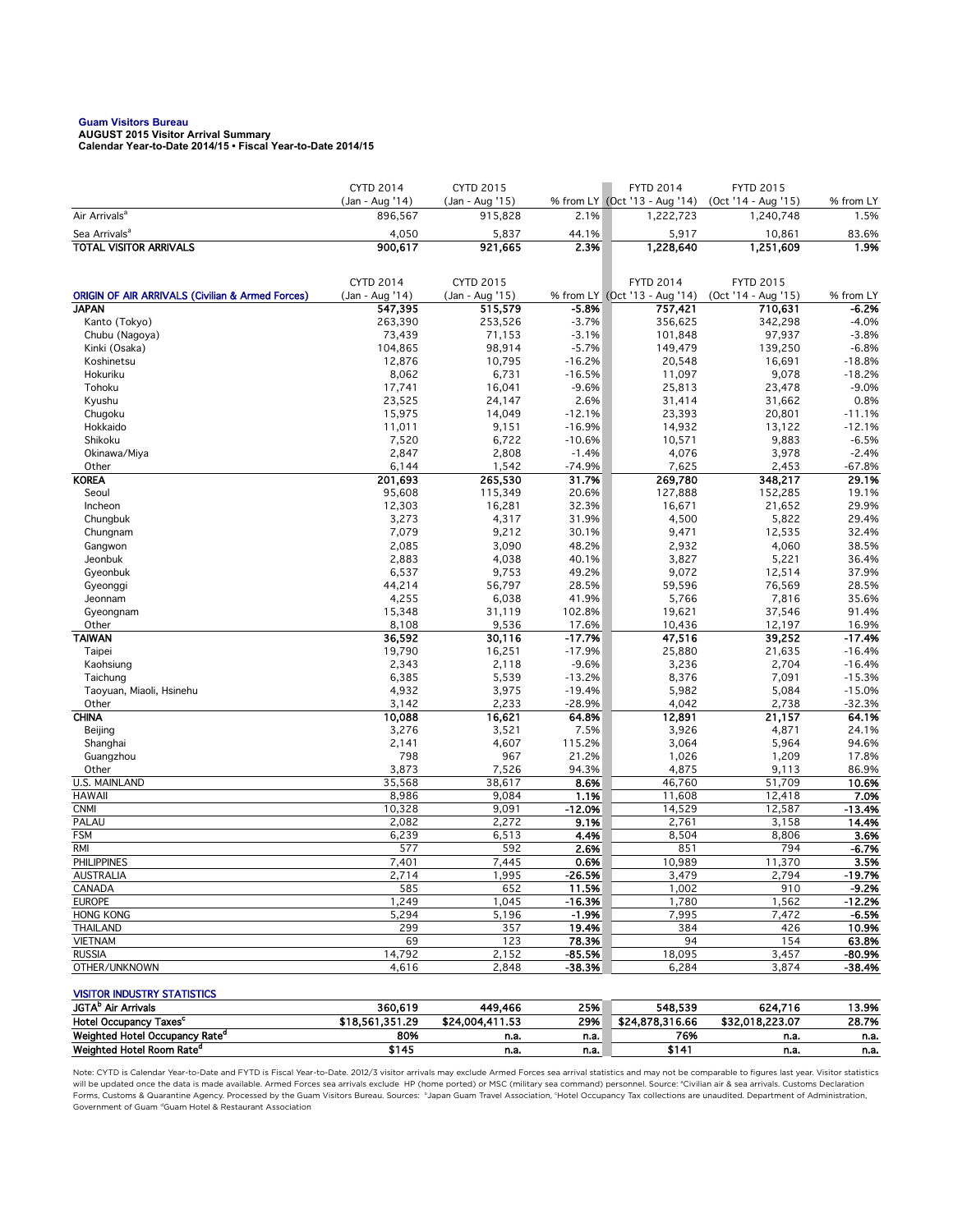**Guam Visitors Bureau AUGUST 2015 Visitor Arrival Summary Calendar Year-to-Date 2014/15 • Fiscal Year-to-Date 2014/15** 

|                                                             | <b>CYTD 2014</b>                    | <b>CYTD 2015</b>                    |                      | <b>FYTD 2014</b>                                  | <b>FYTD 2015</b>                        |                     |
|-------------------------------------------------------------|-------------------------------------|-------------------------------------|----------------------|---------------------------------------------------|-----------------------------------------|---------------------|
| Air Arrivals <sup>a</sup>                                   | (Jan - Aug '14)<br>896,567          | (Jan - Aug '15)<br>915,828          | 2.1%                 | % from LY (Oct '13 - Aug '14)<br>1,222,723        | (Oct '14 - Aug '15)<br>1,240,748        | % from LY<br>1.5%   |
| Sea Arrivals <sup>a</sup>                                   |                                     |                                     |                      |                                                   |                                         |                     |
| <b>TOTAL VISITOR ARRIVALS</b>                               | 4,050<br>900,617                    | 5,837<br>921,665                    | 44.1%<br>2.3%        | 5,917<br>1,228,640                                | 10,861<br>1,251,609                     | 83.6%<br>1.9%       |
|                                                             |                                     |                                     |                      |                                                   |                                         |                     |
|                                                             |                                     |                                     |                      |                                                   |                                         |                     |
| <b>ORIGIN OF AIR ARRIVALS (Civilian &amp; Armed Forces)</b> | <b>CYTD 2014</b><br>(Jan - Aug '14) | <b>CYTD 2015</b><br>(Jan - Aug '15) |                      | <b>FYTD 2014</b><br>% from LY (Oct '13 - Aug '14) | <b>FYTD 2015</b><br>(Oct '14 - Aug '15) | % from LY           |
| <b>JAPAN</b>                                                | 547,395                             | 515,579                             | $-5.8%$              | 757,421                                           | 710,631                                 | -6.2%               |
| Kanto (Tokyo)                                               | 263,390                             | 253,526                             | $-3.7%$              | 356,625                                           | 342,298                                 | $-4.0%$             |
| Chubu (Nagoya)                                              | 73,439                              | 71,153                              | $-3.1%$              | 101,848                                           | 97,937                                  | $-3.8%$             |
| Kinki (Osaka)                                               | 104,865                             | 98,914                              | $-5.7%$              | 149,479                                           | 139,250                                 | $-6.8%$             |
| Koshinetsu                                                  | 12,876                              | 10,795                              | $-16.2%$             | 20,548                                            | 16,691                                  | $-18.8%$            |
| Hokuriku                                                    | 8,062                               | 6,731                               | $-16.5%$             | 11,097                                            | 9,078                                   | $-18.2%$            |
| Tohoku                                                      | 17,741                              | 16,041                              | $-9.6%$              | 25,813                                            | 23,478                                  | $-9.0%$             |
| Kyushu                                                      | 23,525                              | 24,147                              | 2.6%                 | 31,414                                            | 31,662                                  | 0.8%                |
| Chugoku                                                     | 15,975                              | 14,049                              | $-12.1%$             | 23,393                                            | 20,801                                  | $-11.1%$            |
| Hokkaido<br>Shikoku                                         | 11,011<br>7,520                     | 9,151<br>6,722                      | $-16.9%$<br>$-10.6%$ | 14,932<br>10,571                                  | 13,122<br>9,883                         | $-12.1%$<br>$-6.5%$ |
| Okinawa/Miya                                                | 2,847                               | 2,808                               | $-1.4%$              | 4,076                                             | 3,978                                   | $-2.4%$             |
| Other                                                       | 6,144                               | 1,542                               | $-74.9%$             | 7,625                                             | 2,453                                   | $-67.8%$            |
| <b>KOREA</b>                                                | 201,693                             | 265,530                             | 31.7%                | 269,780                                           | 348,217                                 | 29.1%               |
| Seoul                                                       | 95,608                              | 115,349                             | 20.6%                | 127,888                                           | 152,285                                 | 19.1%               |
| Incheon                                                     | 12,303                              | 16,281                              | 32.3%                | 16,671                                            | 21,652                                  | 29.9%               |
| Chungbuk                                                    | 3,273                               | 4,317                               | 31.9%                | 4,500                                             | 5,822                                   | 29.4%               |
| Chungnam                                                    | 7,079                               | 9,212                               | 30.1%                | 9,471                                             | 12,535                                  | 32.4%               |
| Gangwon                                                     | 2,085                               | 3,090                               | 48.2%                | 2,932                                             | 4,060                                   | 38.5%               |
| Jeonbuk                                                     | 2,883                               | 4,038                               | 40.1%                | 3,827                                             | 5,221                                   | 36.4%               |
| Gyeonbuk                                                    | 6,537                               | 9,753                               | 49.2%                | 9,072                                             | 12,514                                  | 37.9%               |
| Gyeonggi                                                    | 44,214                              | 56,797                              | 28.5%                | 59,596                                            | 76,569                                  | 28.5%               |
| Jeonnam                                                     | 4,255                               | 6,038                               | 41.9%                | 5,766                                             | 7,816                                   | 35.6%               |
| Gyeongnam<br>Other                                          | 15,348<br>8,108                     | 31,119<br>9,536                     | 102.8%<br>17.6%      | 19,621<br>10,436                                  | 37,546<br>12,197                        | 91.4%<br>16.9%      |
| <b>TAIWAN</b>                                               | 36,592                              | 30,116                              | $-17.7%$             | 47,516                                            | 39,252                                  | $-17.4%$            |
| Taipei                                                      | 19,790                              | 16,251                              | $-17.9%$             | 25,880                                            | 21,635                                  | $-16.4%$            |
| Kaohsiung                                                   | 2,343                               | 2,118                               | $-9.6%$              | 3,236                                             | 2,704                                   | $-16.4%$            |
| Taichung                                                    | 6,385                               | 5,539                               | $-13.2%$             | 8,376                                             | 7,091                                   | $-15.3%$            |
| Taoyuan, Miaoli, Hsinehu                                    | 4,932                               | 3,975                               | $-19.4%$             | 5,982                                             | 5,084                                   | $-15.0%$            |
| Other                                                       | 3,142                               | 2,233                               | $-28.9%$             | 4,042                                             | 2,738                                   | $-32.3%$            |
| <b>CHINA</b>                                                | 10,088                              | 16,621                              | 64.8%                | 12,891                                            | 21,157                                  | 64.1%               |
| Beijing                                                     | 3,276                               | 3,521                               | 7.5%                 | 3,926                                             | 4,871                                   | 24.1%               |
| Shanghai                                                    | 2,141                               | 4,607                               | 115.2%               | 3,064                                             | 5,964                                   | 94.6%               |
| Guangzhou                                                   | 798                                 | 967                                 | 21.2%                | 1,026                                             | 1,209                                   | 17.8%               |
| Other                                                       | 3,873                               | 7,526<br>38,617                     | 94.3%<br>8.6%        | 4,875                                             | 9,113                                   | 86.9%               |
| U.S. MAINLAND<br><b>HAWAII</b>                              | 35,568<br>8,986                     | 9,084                               | 1.1%                 | 46,760<br>11,608                                  | 51,709<br>12,418                        | 10.6%<br>7.0%       |
| <b>CNMI</b>                                                 | 10,328                              | 9,091                               | $-12.0%$             | 14,529                                            | 12,587                                  | $-13.4%$            |
| PALAU                                                       | 2,082                               | 2,272                               | 9.1%                 | 2,761                                             | 3,158                                   | 14.4%               |
| <b>FSM</b>                                                  | 6,239                               | 6,513                               | 4.4%                 | 8,504                                             | 8,806                                   | 3.6%                |
| RMI                                                         | 577                                 | 592                                 | 2.6%                 | 851                                               | 794                                     | -6.7%               |
| <b>PHILIPPINES</b>                                          | 7,401                               | 7,445                               | 0.6%                 | 10,989                                            | 11,370                                  | 3.5%                |
| AUSTRALIA                                                   | 2,714                               | 1,995                               | -26.5%               | 3,479                                             | 2,794                                   | -19.7%              |
| CANADA                                                      | 585                                 | 652                                 | 11.5%                | 1,002                                             | 910                                     | $-9.2%$             |
| <b>EUROPE</b>                                               | 1,249                               | 1,045                               | $-16.3%$             | 1,780                                             | 1,562                                   | $-12.2%$            |
| <b>HONG KONG</b>                                            | 5,294                               | 5,196                               | $-1.9%$              | 7,995                                             | 7,472                                   | -6.5%               |
| THAILAND                                                    | 299                                 | 357                                 | 19.4%<br>78.3%       | 384                                               | 426                                     | 10.9%               |
| <b>VIETNAM</b><br><b>RUSSIA</b>                             | 69<br>14,792                        | 123<br>2,152                        | $-85.5%$             | 94<br>18,095                                      | 154<br>3,457                            | 63.8%<br>$-80.9%$   |
| OTHER/UNKNOWN                                               | 4,616                               | 2,848                               | $-38.3%$             | 6,284                                             | 3,874                                   | -38.4%              |
|                                                             |                                     |                                     |                      |                                                   |                                         |                     |
| <b>VISITOR INDUSTRY STATISTICS</b>                          |                                     |                                     |                      |                                                   |                                         |                     |
| JGTA <sup>b</sup> Air Arrivals                              | 360,619                             | 449,466                             | 25%                  | 548,539                                           | 624,716                                 | 13.9%               |
| Hotel Occupancy Taxes <sup>c</sup>                          | \$18,561,351.29                     | \$24,004,411.53                     | 29%                  | \$24,878,316.66                                   | \$32,018,223.07                         | 28.7%               |
| Weighted Hotel Occupancy Rate <sup>d</sup>                  | 80%                                 | n.a.                                | n.a.                 | 76%                                               | n.a.                                    | n.a.                |
| Weighted Hotel Room Rate <sup>d</sup>                       | \$145                               | n.a.                                | n.a.                 | \$141                                             | n.a.                                    | n.a.                |

Note: CYTD is Calendar Year-to-Date and FYTD is Fiscal Year-to-Date. 2012/3 visitor arrivals may exclude Armed Forces sea arrival statistics and may not be comparable to figures last year. Visitor statistics will be updated once the data is made available. Armed Forces sea arrivals exclude HP (home ported) or MSC (military sea command) personnel. Source: °Civilian air & sea arrivals. Customs Declaration<br>Forms, Customs & Quaran Government of Guam dGuam Hotel & Restaurant Association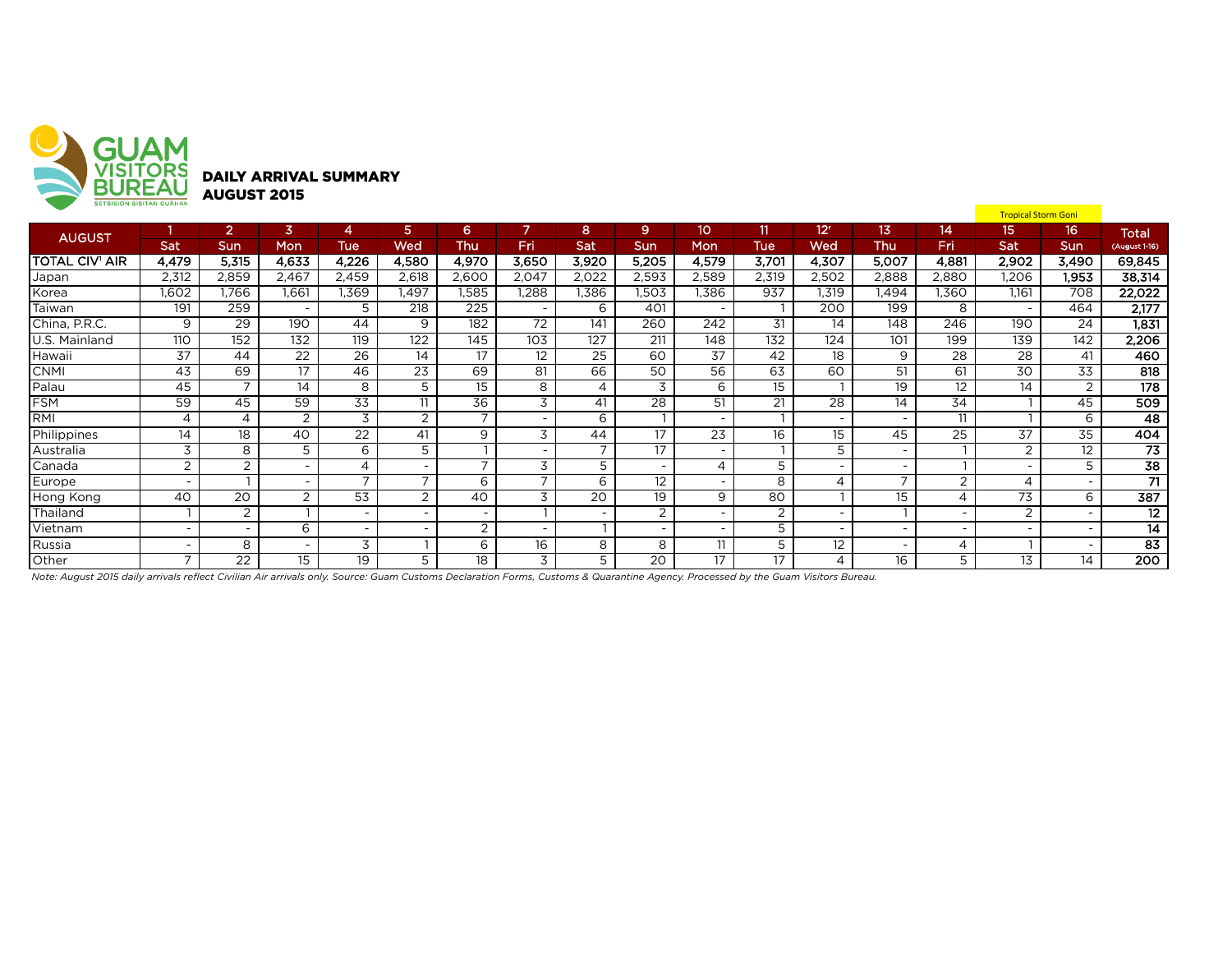

|                       | <b>SEIBISIUN BISITAN GUAHAN</b> |                          |                          |                          |                          |                          |                          |                          |                          |                          |            |                          |                          |                          | <b>Tropical Storm Goni</b> |                          |                  |
|-----------------------|---------------------------------|--------------------------|--------------------------|--------------------------|--------------------------|--------------------------|--------------------------|--------------------------|--------------------------|--------------------------|------------|--------------------------|--------------------------|--------------------------|----------------------------|--------------------------|------------------|
| <b>AUGUST</b>         |                                 | $\overline{2}$           | 3                        | 4                        | 5.                       | 6.                       | 7                        | 8                        | 9                        | 10                       | 11.        | 12 <sup>r</sup>          | 13                       | 14                       | 15                         | 16                       | <b>Total</b>     |
|                       | Sat                             | Sun                      | Mon                      | <b>Tue</b>               | Wed                      | Thu                      | Fri                      | Sat                      | <b>Sun</b>               | Mon                      | <b>Tue</b> | Wed                      | Thu                      | Fri                      | Sat                        | Sun                      | (August 1-16)    |
| <b>TOTAL CIV' AIR</b> | 4,479                           | 5,315                    | 4,633                    | 4,226                    | 4,580                    | 4,970                    | 3,650                    | 3,920                    | 5,205                    | 4,579                    | 3,701      | 4,307                    | 5,007                    | 4,881                    | 2,902                      | 3,490                    | 69,845           |
| Japan                 | 2,312                           | 2,859                    | 2,467                    | 2,459                    | 2,618                    | 2,600                    | 2,047                    | 2,022                    | 2,593                    | 2,589                    | 2,319      | 2,502                    | 2,888                    | 2,880                    | 1,206                      | 1,953                    | 38,314           |
| Korea                 | 1,602                           | 1.766                    | 1,661                    | I.369                    | 1,497                    | 1,585                    | .288                     | 1,386                    | 1,503                    | .386                     | 937        | 1,319                    | 1,494                    | 1,360                    | 1.161                      | 708                      | 22,022           |
| Taiwan                | 191                             | 259                      | $\sim$                   | 5                        | 218                      | 225                      | $\overline{a}$           | 6                        | 401                      | $\overline{\phantom{a}}$ |            | 200                      | 199                      | 8                        | $\overline{\phantom{0}}$   | 464                      | 2,177            |
| China, P.R.C.         | 9                               | 29                       | 190                      | 44                       | 9                        | 182                      | 72                       | 141                      | 260                      | 242                      | 31         | 14                       | 148                      | 246                      | 190                        | 24                       | 1,831            |
| <b>IU.S. Mainland</b> | 110                             | 152                      | 132                      | 119                      | 122                      | 145                      | 103                      | 127                      | 211                      | 148                      | 132        | 124                      | 101                      | 199                      | 139                        | 142                      | 2,206            |
| Hawaii                | 37                              | 44                       | 22                       | $\overline{26}$          | $\overline{14}$          | 17                       | 12                       | $\overline{25}$          | 60                       | 37                       | 42         | 18                       | 9                        | 28                       | $\overline{28}$            | 41                       | 460              |
| <b>CNMI</b>           | 43                              | 69                       | 17                       | 46                       | 23                       | 69                       | 81                       | 66                       | 50                       | 56                       | 63         | 60                       | 51                       | 61                       | 30                         | 33                       | 818              |
| Palau                 | 45                              | $\overline{7}$           | 14                       | 8                        | 5                        | 15                       | 8                        | $\overline{\mathcal{A}}$ | 3                        | 6                        | 15         |                          | 19                       | 12                       | 14                         | 2                        | $\overline{178}$ |
| <b>FSM</b>            | 59                              | 45                       | 59                       | $\overline{33}$          | 11                       | 36                       | 3                        | 41                       | 28                       | 51                       | 21         | 28                       | 14                       | 34                       |                            | 45                       | 509              |
| RMI                   | $\overline{4}$                  | 4                        | 2                        | 3                        | $\overline{2}$           | $\overline{\phantom{a}}$ |                          | 6                        |                          | $\overline{\phantom{a}}$ |            | $\overline{\phantom{0}}$ | $\overline{\phantom{a}}$ | 11                       |                            | 6                        | 48               |
| Philippines           | 14                              | 18                       | 40                       | 22                       | 41                       | 9                        | 3                        | 44                       | 17                       | 23                       | 16         | 15                       | 45                       | 25                       | 37                         | 35                       | 404              |
| Australia             | 3                               | 8                        | 5                        | 6                        | 5                        |                          |                          | -                        | 17                       | $\overline{\phantom{0}}$ |            | 5                        | $\overline{\phantom{0}}$ |                          | $\overline{2}$             | 12                       | 73               |
| Canada                | $\overline{2}$                  | 2                        | $\overline{\phantom{0}}$ | 4                        |                          | $\overline{\phantom{a}}$ | 3                        | 5                        |                          | $\overline{4}$           | 5          | $\overline{\phantom{0}}$ | $\overline{\phantom{a}}$ |                          |                            | 5                        | $\overline{38}$  |
| Europe                | $\overline{\phantom{a}}$        |                          | $\overline{\phantom{a}}$ | $\overline{\phantom{0}}$ | $\overline{ }$           | 6                        | $\overline{\phantom{a}}$ | 6                        | 12                       | $\overline{\phantom{a}}$ | 8          | 4                        | $\overline{ }$           | 2                        | 4                          |                          | $\overline{71}$  |
| Hong Kong             | 40                              | 20                       | 2                        | 53                       | $\overline{2}$           | 40                       | 3                        | 20                       | 19                       | 9                        | 80         |                          | 15                       | 4                        | 73                         | 6                        | 387              |
| Thailand              |                                 | $\overline{2}$           |                          | ۰                        |                          |                          |                          |                          | $\overline{2}$           | $\overline{\phantom{a}}$ | 2          | $\overline{\phantom{0}}$ |                          | $\overline{\phantom{a}}$ | $\overline{2}$             |                          | $\overline{12}$  |
| Vietnam               | $\overline{\phantom{a}}$        | $\overline{\phantom{a}}$ | 6                        | $\overline{\phantom{0}}$ | $\overline{\phantom{0}}$ | $\overline{2}$           | $\overline{\phantom{0}}$ |                          | $\overline{\phantom{a}}$ | $\overline{\phantom{a}}$ | 5          | $\overline{\phantom{a}}$ | $\overline{\phantom{a}}$ | $\sim$                   | $\overline{\phantom{0}}$   | $\overline{\phantom{0}}$ | $\overline{14}$  |
| Russia                | $\overline{\phantom{a}}$        | 8                        | $\overline{\phantom{a}}$ | 3                        |                          | 6                        | 16                       | 8                        | 8                        | 11                       | 5          | 12                       | ۰                        | 4                        |                            | $\overline{\phantom{0}}$ | $\overline{83}$  |
| Other                 | $\overline{ }$                  | 22                       | 15                       | 19                       | 5                        | 18                       | 3                        | 5                        | 20                       | 17                       | 17         | 4                        | 16                       | 5                        | 13                         | 14                       | 200              |

*Note: August 2015 daily arrivals reflect Civilian Air arrivals only. Source: Guam Customs Declaration Forms, Customs & Quarantine Agency. Processed by the Guam Visitors Bureau.*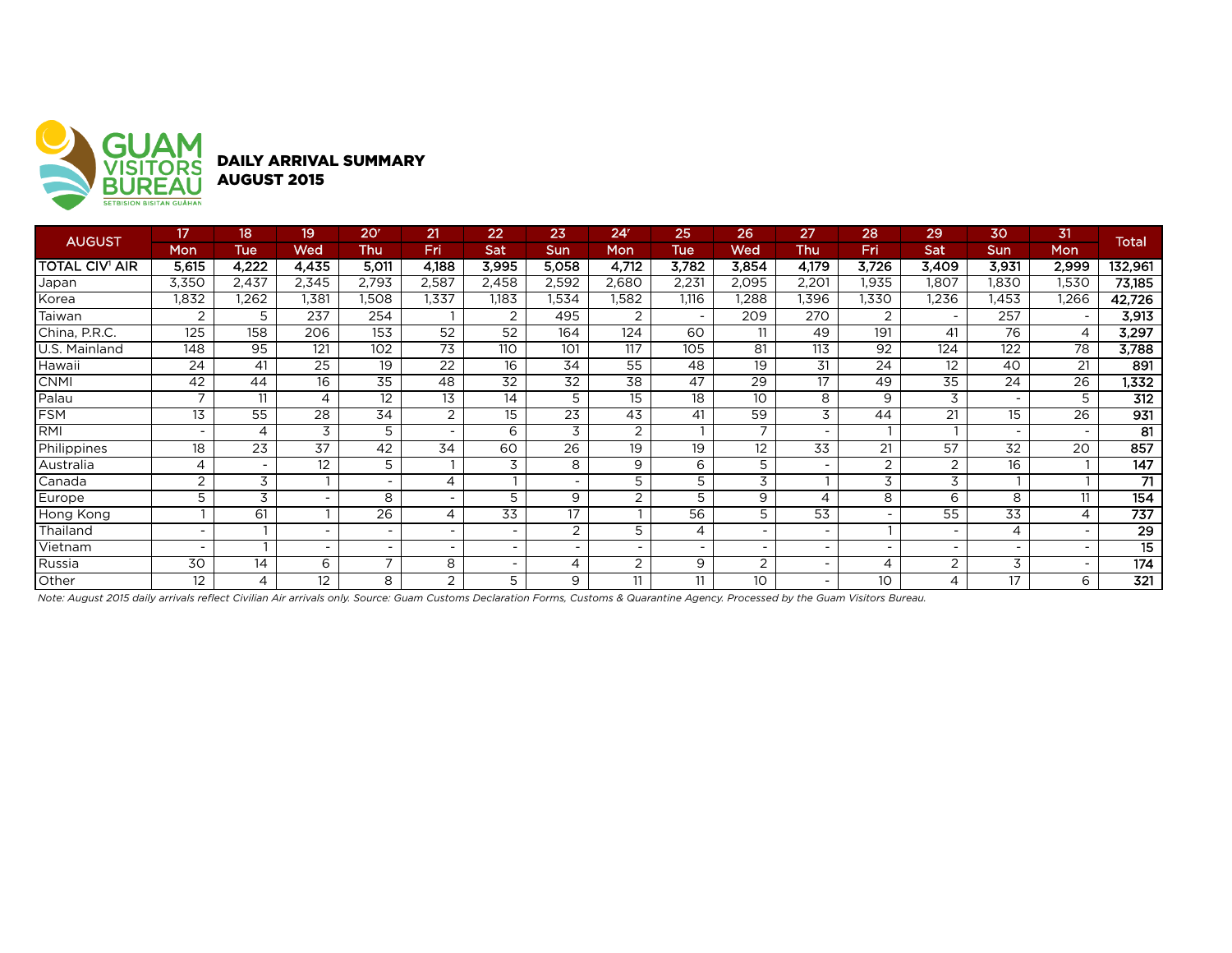

DAILY ARRIVAL SUMMARY AUGUST 2015

| <b>AUGUST</b>         | 17                       | 18 <sup>1</sup> | 19                       | 20 <sup>r</sup>          | 21                       | 22              | 23             | 24 <sup>r</sup> | 25    | 26                       | 27                       | 28'                      | 29             | 30                       | 31                       | <b>Total</b>     |
|-----------------------|--------------------------|-----------------|--------------------------|--------------------------|--------------------------|-----------------|----------------|-----------------|-------|--------------------------|--------------------------|--------------------------|----------------|--------------------------|--------------------------|------------------|
|                       | Mon                      | Tue             | Wed                      | Thu                      | Fri                      | Sat             | Sun            | Mon             | Tue   | Wed                      | Thu                      | Fri                      | Sat            | <b>Sun</b>               | Mon                      |                  |
| <b>TOTAL CIV' AIR</b> | 5,615                    | 4,222           | 4,435                    | 5,011                    | 4,188                    | 3,995           | 5,058          | 4,712           | 3,782 | 3,854                    | 4,179                    | 3,726                    | 3,409          | 3,931                    | 2,999                    | 132,961          |
| Japan                 | 3,350                    | 2,437           | 2,345                    | 2,793                    | 2,587                    | 2,458           | 2,592          | 2,680           | 2,231 | 2,095                    | 2,201                    | 1,935                    | 1,807          | 1,830                    | 1,530                    | 73,185           |
| Korea                 | 1,832                    | .262            | .381                     | .508                     | 1,337                    | 1,183           | .534           | 1,582           | 1.116 | .288                     | .396                     | 1,330                    | .236           | .453                     | ,266                     | 42,726           |
| Taiwan                | $\overline{2}$           | 5               | 237                      | 254                      |                          | 2               | 495            | $\overline{2}$  |       | 209                      | 270                      | $\overline{2}$           |                | 257                      |                          | 3,913            |
| China, P.R.C.         | 125                      | 158             | 206                      | 153                      | 52                       | 52              | 164            | 124             | 60    | 11                       | 49                       | 191                      | 41             | 76                       | $\overline{4}$           | 3,297            |
| U.S. Mainland         | 148                      | 95              | 121                      | 102                      | $\overline{73}$          | 110             | 101            | 117             | 105   | 81                       | 113                      | 92                       | 124            | 122                      | $\overline{78}$          | 3,788            |
| Hawaii                | 24                       | 41              | 25                       | 19                       | 22                       | 16              | 34             | 55              | 48    | 19                       | 31                       | 24                       | 12             | 40                       | 21                       | 891              |
| <b>CNMI</b>           | 42                       | 44              | 16                       | 35                       | 48                       | 32              | 32             | 38              | 47    | 29                       | 17                       | 49                       | 35             | 24                       | 26                       | 1,332            |
| Palau                 | ⇁                        | 11              | 4                        | 12                       | 13                       | 14              | 5              | 15              | 18    | 10                       | 8                        | 9                        | 3              | $\overline{\phantom{a}}$ | 5                        | 312              |
| <b>FSM</b>            | 13                       | 55              | 28                       | 34                       | 2                        | 15              | 23             | 43              | 41    | 59                       | 3                        | 44                       | 21             | 15                       | 26                       | 931              |
| RMI                   |                          | 4               | 3                        | 5                        | $\overline{\phantom{a}}$ | 6               | 3              | $\overline{2}$  |       | $\overline{\phantom{a}}$ | $\overline{\phantom{a}}$ |                          |                |                          | $\overline{\phantom{a}}$ | 81               |
| Philippines           | 18                       | 23              | 37                       | 42                       | 34                       | 60              | 26             | 19              | 19    | 12                       | 33                       | 21                       | 57             | 32                       | 20                       | 857              |
| Australia             | 4                        |                 | 12                       | 5                        |                          | 3               | 8              | 9               | 6     | 5                        | $\overline{\phantom{a}}$ | $\overline{2}$           | っ              | 16                       |                          | 147              |
| Canada                | 2                        | 3               |                          |                          | 4                        |                 |                | 5               | 5     | 3                        |                          | 3                        | 3              |                          |                          | 71               |
| Europe                | 5                        | 3               | $\overline{\phantom{a}}$ | 8                        | $\overline{\phantom{a}}$ | 5               | 9              | $\overline{2}$  | 5     | 9                        | 4                        | 8                        | 6              | 8                        | 11                       | 154              |
| Hong Kong             |                          | 61              |                          | 26                       | 4                        | $\overline{33}$ | 17             |                 | 56    | 5                        | 53                       | $\overline{\phantom{a}}$ | 55             | 33                       | $\overline{A}$           | $\overline{737}$ |
| Thailand              | $\overline{\phantom{0}}$ |                 | $\sim$                   | $\overline{\phantom{a}}$ | $\overline{\phantom{0}}$ | -               | $\overline{2}$ | 5               | 4     | $\overline{\phantom{a}}$ | $\overline{\phantom{a}}$ |                          |                |                          | $\overline{\phantom{a}}$ | $\overline{29}$  |
| Vietnam               |                          |                 | $\overline{\phantom{a}}$ | $\overline{\phantom{a}}$ |                          |                 |                | ۰               |       | ٠                        | $\overline{\phantom{a}}$ | $\overline{\phantom{0}}$ |                |                          | $\overline{\phantom{a}}$ | $\overline{15}$  |
| Russia                | 30                       | 14              | 6                        | $\overline{ }$           | 8                        |                 | 4              | $\overline{2}$  | 9     | $\overline{2}$           | $\overline{\phantom{a}}$ | 4                        | $\overline{2}$ | 3                        | $\overline{\phantom{a}}$ | 174              |
| Other                 | 12                       | 4               | 12                       | 8                        | 2                        | 5               | 9              | 11              | 11    | 10                       | $\overline{\phantom{0}}$ | 10                       | 4              | 17                       | 6                        | $\overline{321}$ |

*Note: August 2015 daily arrivals reflect Civilian Air arrivals only. Source: Guam Customs Declaration Forms, Customs & Quarantine Agency. Processed by the Guam Visitors Bureau.*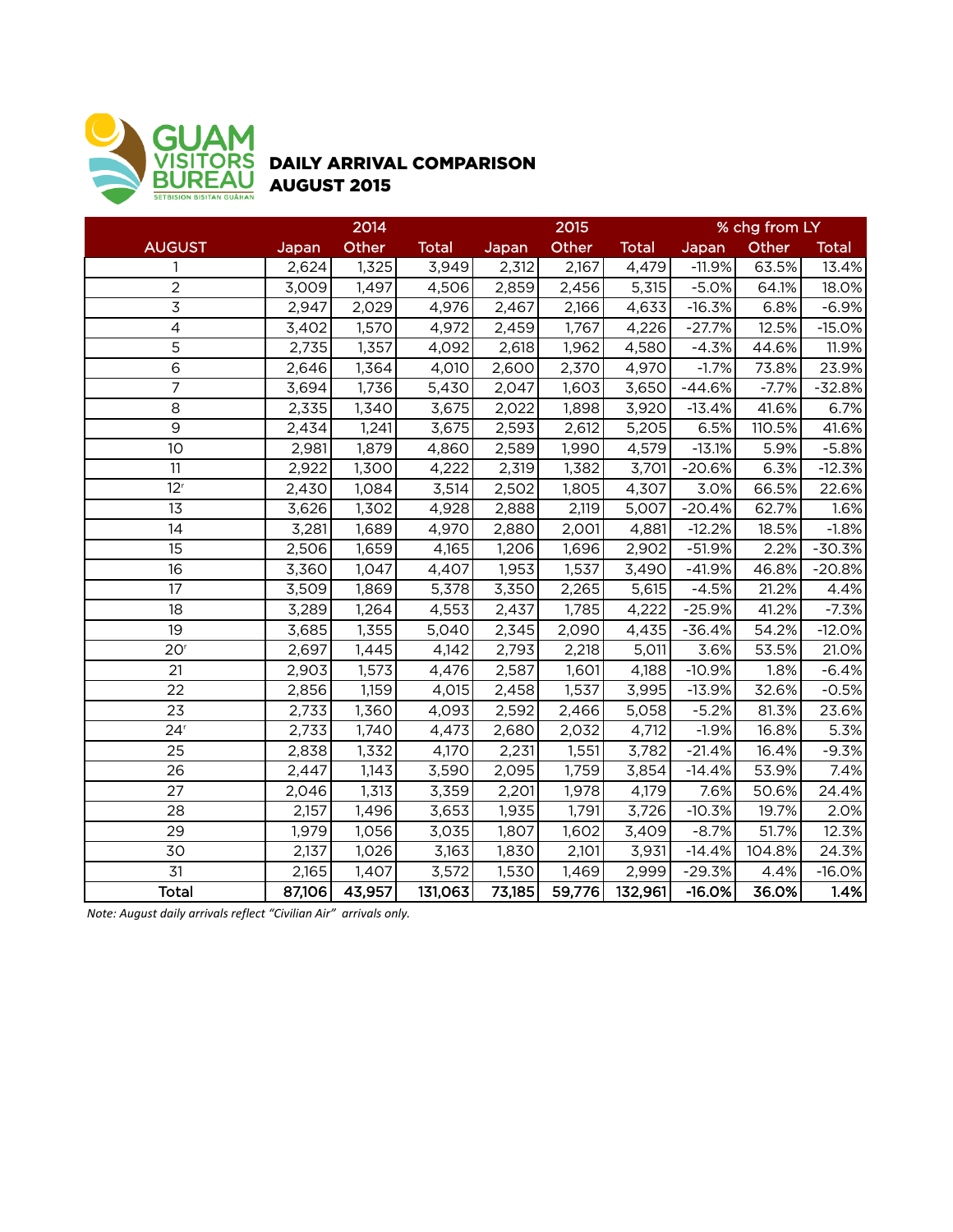

## DAILY ARRIVAL COMPARISON AUGUST 2015

|                 |        | 2014   |              |        | 2015   |              |          | % chg from LY |              |
|-----------------|--------|--------|--------------|--------|--------|--------------|----------|---------------|--------------|
| <b>AUGUST</b>   | Japan  | Other  | <b>Total</b> | Japan  | Other  | <b>Total</b> | Japan    | Other         | <b>Total</b> |
| $\mathbf{1}$    | 2,624  | 1,325  | 3,949        | 2,312  | 2,167  | 4,479        | $-11.9%$ | 63.5%         | 13.4%        |
| $\overline{2}$  | 3,009  | 1,497  | 4,506        | 2,859  | 2,456  | 5,315        | $-5.0%$  | 64.1%         | 18.0%        |
| $\overline{3}$  | 2,947  | 2,029  | 4,976        | 2,467  | 2,166  | 4,633        | $-16.3%$ | 6.8%          | $-6.9%$      |
| $\overline{4}$  | 3,402  | 1,570  | 4,972        | 2,459  | 1,767  | 4,226        | $-27.7%$ | 12.5%         | $-15.0%$     |
| 5               | 2,735  | 1,357  | 4,092        | 2,618  | 1,962  | 4,580        | $-4.3%$  | 44.6%         | 11.9%        |
| $\,$ 6          | 2,646  | 1,364  | 4,010        | 2,600  | 2,370  | 4,970        | $-1.7%$  | 73.8%         | 23.9%        |
| $\overline{7}$  | 3,694  | 1,736  | 5,430        | 2,047  | 1,603  | 3,650        | $-44.6%$ | $-7.7%$       | $-32.8%$     |
| 8               | 2,335  | 1,340  | 3,675        | 2,022  | 1,898  | 3,920        | $-13.4%$ | 41.6%         | 6.7%         |
| $\overline{9}$  | 2,434  | 1,241  | 3,675        | 2,593  | 2,612  | 5,205        | 6.5%     | 110.5%        | 41.6%        |
| 10              | 2,981  | 1,879  | 4,860        | 2,589  | 1,990  | 4,579        | $-13.1%$ | 5.9%          | $-5.8%$      |
| 11              | 2,922  | 1,300  | 4,222        | 2,319  | 1,382  | 3,701        | $-20.6%$ | 6.3%          | $-12.3%$     |
| 12 <sup>r</sup> | 2,430  | 1,084  | 3,514        | 2,502  | 1,805  | 4,307        | 3.0%     | 66.5%         | 22.6%        |
| 13              | 3,626  | 1,302  | 4,928        | 2,888  | 2,119  | 5,007        | $-20.4%$ | 62.7%         | 1.6%         |
| 14              | 3,281  | 1,689  | 4,970        | 2,880  | 2,001  | 4,881        | $-12.2%$ | 18.5%         | $-1.8%$      |
| 15              | 2,506  | 1,659  | 4,165        | 1,206  | 1,696  | 2,902        | $-51.9%$ | 2.2%          | $-30.3%$     |
| 16              | 3,360  | 1,047  | 4,407        | 1,953  | 1,537  | 3,490        | $-41.9%$ | 46.8%         | $-20.8%$     |
| 17              | 3,509  | 1,869  | 5,378        | 3,350  | 2,265  | 5,615        | $-4.5%$  | 21.2%         | 4.4%         |
| 18              | 3,289  | 1,264  | 4,553        | 2,437  | 1,785  | 4,222        | $-25.9%$ | 41.2%         | $-7.3%$      |
| 19              | 3,685  | 1,355  | 5,040        | 2,345  | 2,090  | 4,435        | $-36.4%$ | 54.2%         | $-12.0%$     |
| 20 <sup>r</sup> | 2,697  | 1,445  | 4,142        | 2,793  | 2,218  | 5,011        | 3.6%     | 53.5%         | 21.0%        |
| 21              | 2,903  | 1,573  | 4,476        | 2,587  | 1,601  | 4,188        | $-10.9%$ | 1.8%          | $-6.4%$      |
| 22              | 2,856  | 1,159  | 4,015        | 2,458  | 1,537  | 3,995        | $-13.9%$ | 32.6%         | $-0.5%$      |
| 23              | 2,733  | 1,360  | 4,093        | 2,592  | 2,466  | 5,058        | $-5.2%$  | 81.3%         | 23.6%        |
| 24 <sup>r</sup> | 2,733  | 1,740  | 4,473        | 2,680  | 2,032  | 4,712        | $-1.9%$  | 16.8%         | 5.3%         |
| 25              | 2,838  | 1,332  | 4,170        | 2,231  | 1,551  | 3,782        | $-21.4%$ | 16.4%         | $-9.3%$      |
| 26              | 2,447  | 1,143  | 3,590        | 2,095  | 1,759  | 3,854        | $-14.4%$ | 53.9%         | 7.4%         |
| 27              | 2,046  | 1,313  | 3,359        | 2,201  | 1,978  | 4,179        | 7.6%     | 50.6%         | 24.4%        |
| 28              | 2,157  | 1,496  | 3,653        | 1,935  | 1,791  | 3,726        | $-10.3%$ | 19.7%         | 2.0%         |
| 29              | 1,979  | 1,056  | 3,035        | 1,807  | 1,602  | 3,409        | $-8.7%$  | 51.7%         | 12.3%        |
| 30              | 2,137  | 1,026  | 3,163        | 1,830  | 2,101  | 3,931        | $-14.4%$ | 104.8%        | 24.3%        |
| $\overline{31}$ | 2,165  | 1,407  | 3,572        | 1,530  | 1,469  | 2,999        | $-29.3%$ | 4.4%          | $-16.0%$     |
| <b>Total</b>    | 87,106 | 43,957 | 131,063      | 73,185 | 59,776 | 132,961      | $-16.0%$ | 36.0%         | 1.4%         |

*Note: August daily arrivals reflect "Civilian Air" arrivals only.*